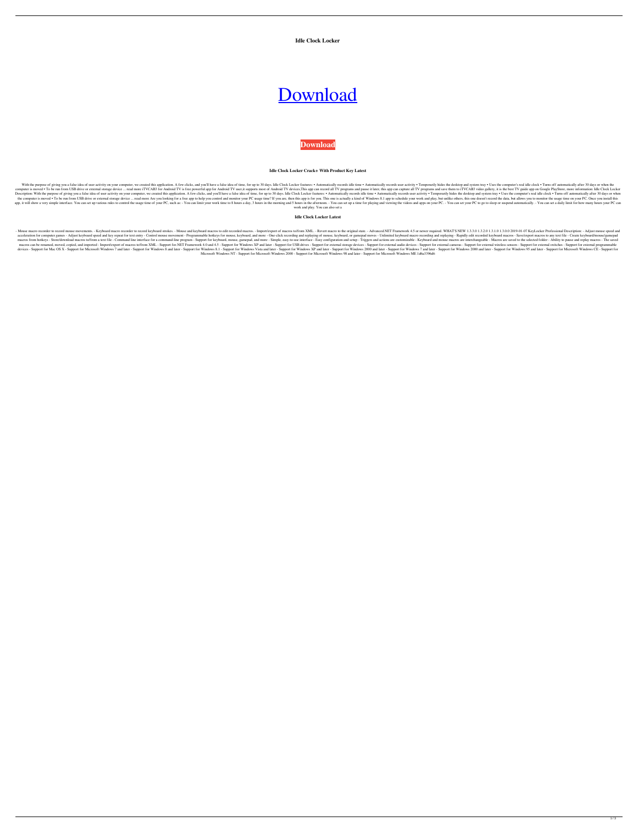**Idle Clock Locker**

# [Download](http://evacdir.com/cheerios/affiliated/billers.lazing?SWRsZSBDbG9jayBMb2NrZXISWR=ZG93bmxvYWR8czl3WW1oMU1YeDhNVFkxTkRVMU9UY3dNbng4TWpVM05IeDhLRTBwSUhKbFlXUXRZbXh2WnlCYlJtRnpkQ0JIUlU1ZA.filmstrip/freebooters)

**[Download](http://evacdir.com/cheerios/affiliated/billers.lazing?SWRsZSBDbG9jayBMb2NrZXISWR=ZG93bmxvYWR8czl3WW1oMU1YeDhNVFkxTkRVMU9UY3dNbng4TWpVM05IeDhLRTBwSUhKbFlXUXRZbXh2WnlCYlJtRnpkQ0JIUlU1ZA.filmstrip/freebooters)**

## **Idle Clock Locker Crack+ With Product Key Latest**

With the purpose of giving you a false idea of user activity on your computer, we created this application. A few clicks, and you'll have a false idea of time, for up to 30 days. Idle Clock Locker features: . Automatically computer is moved . To be run from USB drive or external storage device ... read more iTVCAB3 for Android TV is free powerful app for Android TV user, it supports most of Android TV devices, This app can record all TV prog Description: With the purpose of giving you a false idea of user activity on your computer, we created this application. A few clicks, and you'll have a false idea of time, for up to 30 days. Idle Clock Locker features: • the computer is moved . To be run from USB drive or external storage device ... read more Are you looking for a free app to help you control and monitor your PC usage time? If you are, then this app is for you. This one is app, it will show a very simple interface. You can set up various rules to control the usage time of your PC, such as: - You can limit your work time to 8 hours a day, 3 hours in the afternoon. - You can set up a time for work and play. You can also set a

- Mouse macro recorder to record mouse movements. - Keyboard macro recorder to record he original states. - Mouse and keyboard macros to edit recorded macros to edit recorded macros to/from XML. - Revert macro to the origi acceleration for computer games - Adjust keyboard speed and key repeat for text entry - Control mouse movement - Programmable hotkeys for mouse, keyboard, and more - One-click recording and replaying of mouse, keyboard mac macros from hotkeys - Store/download macros to/from a text file - Command line interface for a command-line program - Support for keyboard, mouse, gamepad, and more - Simple, easy-to-use interface - Easy configuration and macros can be renamed, moved, copied, and imported - Import/export of macros to/from XML - Support for.NET Framework 4.0 and 4.5 - Support for Windows XP and later - Support for external storage devices - Support for exter devices - Support for Mac OS X - Support for Microsoft Windows 7 and later - Support for Windows 8 and later - Support for Windows 8.1 - Support for Windows XP and later - Support for Windows XP and later - Support for Win Microsoft Windows NT - Support for Microsoft Windows 2000 - Support for Microsoft Windows 98 and later - Support for Microsoft Windows ME 1d6a3396d6

## **Idle Clock Locker Latest**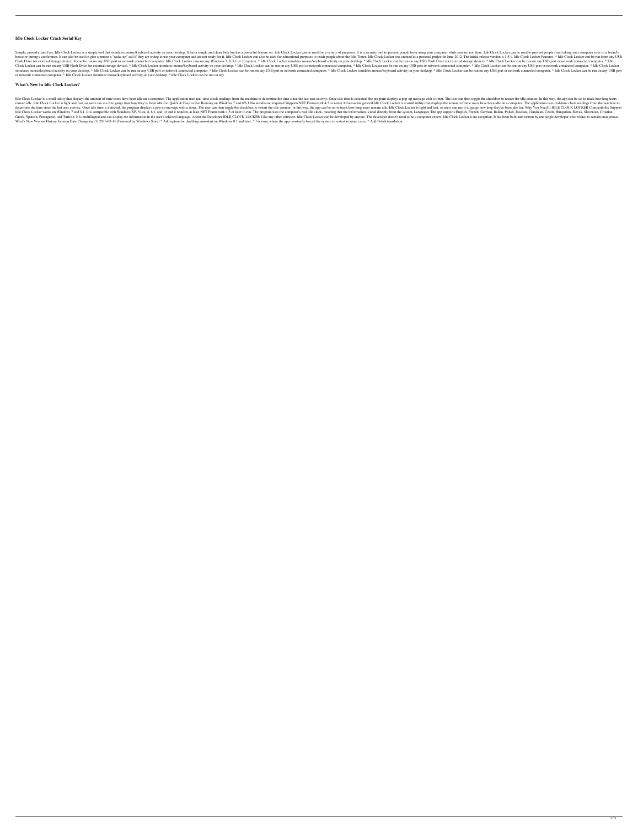## **Idle Clock Locker Crack Serial Key**

Simple, powerful and free. Idle Clock Locker is a simple tool that simulates mouse/keyboard activity on your desktop. It has a simple and clean look but has a powerful feature set. Idle Clock Locker can be used for a varie house or during a conference. It can also be used to give a person a "wake-up" call if they are trying to use your computer and are not ready for it. Idle Clock Locker can also be used for educational purposes to teach peo Flash Drive (or external storage device). It can be run on any USB port or network connected computer. Idle Clock Locker runs on any Windows 7, 8, 8.1 or 10 system. \* Idle Clock Locker simulates mouse/keyboard activity on Clock Locker can be run on any USB Flash Drive (or external storage device). \* Idle Clock Locker simulates mouse/keyboard activity on your desktop. \* Idle Clock Locker can be run on any USB port or network connected comput simulates mouse/keyboard activity on your desktop. \* Idle Clock Locker can be run on any USB port or network connected computer. \* Idle Clock Locker can be run on any USB port or network connected computer. \* Idle Clock Lo or network connected computer. \* Idle Clock Locker simulates mouse/keyboard activity on your desktop. \* Idle Clock Locker can be run on any

#### **What's New In Idle Clock Locker?**

Idle Clock Locker is a small utility that displays the amount of time users have been idle on a computer. The application uses real-time clock readings from the machine to determine the time is detected, the program displa remain idle. Idle Clock Locker is light and fast, so users can use it to gauge how long they've been idle for. Quick & Easy to Use Running on Windows 7 and 8/8.1 No installation required Supports.NET Framework 4.5 or newer determine the time since the last user activity. Once idle time is detected, the program displays a pop-up message with a timer. The user can then toggle the checkbox to restart the idle counter. In this way, the app can b Idle Clock Locker works on Windows 7 and 8.1. It is compatible with Windows XP, Vista, 8, 8.1, and 10 and it requires at least.NET Framework 4.5 or later to run. The program uses the computer's real idle clock, meaning tha Greek, Spanish, Portuguese, and Turkish. It is multilingual and can display the information in the user's selected language. About the Developer IDLE CLOCK LOCKER Like any other software, Idle Clock Locker can be developer What's New Version History Version Date Changelog 2.0 2016-03-16 (Powered by Windows Store) \* Add option for disabling auto-start on Windows 8.1 and later. \* Fix issue where the app constantly forced the system to restart